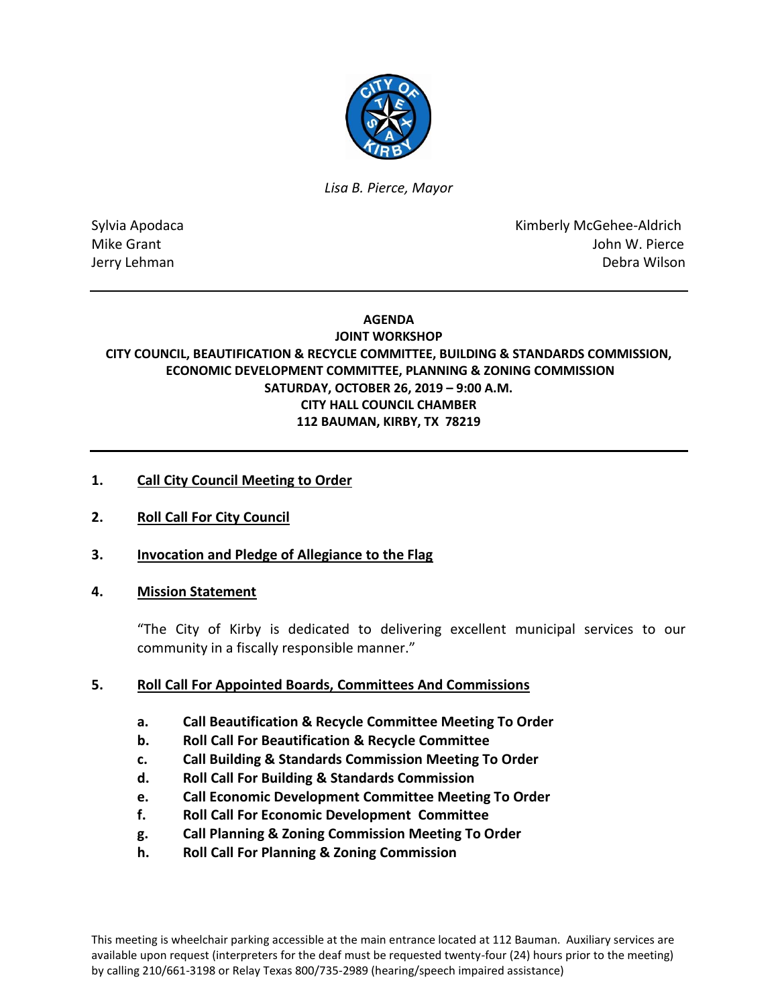

*Lisa B. Pierce, Mayor* 

Sylvia Apodaca National According Control of American Control of Kimberly McGehee-Aldrich Mike Grant **Mike Grant** And The Mike Grant And The Mike Grant And The Mike Grant And The Mike Grant And The Mike And The Mike And The Mike And The Mike And The Mike And The Mike And The Mike And The Mike And The Mike And T Jerry Lehman Debra Wilson

## **AGENDA**

## **JOINT WORKSHOP CITY COUNCIL, BEAUTIFICATION & RECYCLE COMMITTEE, BUILDING & STANDARDS COMMISSION, ECONOMIC DEVELOPMENT COMMITTEE, PLANNING & ZONING COMMISSION SATURDAY, OCTOBER 26, 2019 – 9:00 A.M. CITY HALL COUNCIL CHAMBER 112 BAUMAN, KIRBY, TX 78219**

# **1. Call City Council Meeting to Order**

**2. Roll Call For City Council**

## **3. Invocation and Pledge of Allegiance to the Flag**

## **4. Mission Statement**

"The City of Kirby is dedicated to delivering excellent municipal services to our community in a fiscally responsible manner."

## **5. Roll Call For Appointed Boards, Committees And Commissions**

- **a. Call Beautification & Recycle Committee Meeting To Order**
- **b. Roll Call For Beautification & Recycle Committee**
- **c. Call Building & Standards Commission Meeting To Order**
- **d. Roll Call For Building & Standards Commission**
- **e. Call Economic Development Committee Meeting To Order**
- **f. Roll Call For Economic Development Committee**
- **g. Call Planning & Zoning Commission Meeting To Order**
- **h. Roll Call For Planning & Zoning Commission**